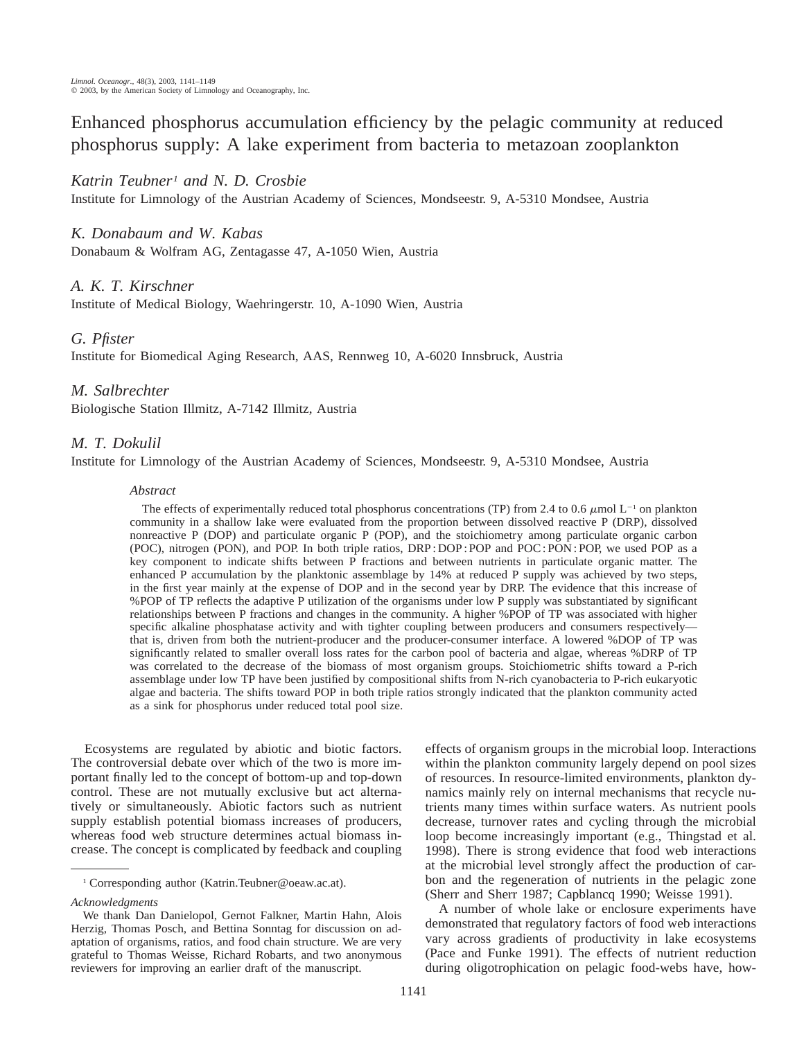Enhanced phosphorus accumulation efficiency by the pelagic community at reduced phosphorus supply: A lake experiment from bacteria to metazoan zooplankton

# *Katrin Teubner1 and N. D. Crosbie*

Institute for Limnology of the Austrian Academy of Sciences, Mondseestr. 9, A-5310 Mondsee, Austria

## *K. Donabaum and W. Kabas*

Donabaum & Wolfram AG, Zentagasse 47, A-1050 Wien, Austria

## *A. K. T. Kirschner*

Institute of Medical Biology, Waehringerstr. 10, A-1090 Wien, Austria

### *G. Pfister*

Institute for Biomedical Aging Research, AAS, Rennweg 10, A-6020 Innsbruck, Austria

### *M. Salbrechter*

Biologische Station Illmitz, A-7142 Illmitz, Austria

## *M. T. Dokulil*

Institute for Limnology of the Austrian Academy of Sciences, Mondseestr. 9, A-5310 Mondsee, Austria

### *Abstract*

The effects of experimentally reduced total phosphorus concentrations (TP) from 2.4 to 0.6  $\mu$ mol L<sup>-1</sup> on plankton community in a shallow lake were evaluated from the proportion between dissolved reactive P (DRP), dissolved nonreactive P (DOP) and particulate organic P (POP), and the stoichiometry among particulate organic carbon (POC), nitrogen (PON), and POP. In both triple ratios, DRP : DOP : POP and POC : PON : POP, we used POP as a key component to indicate shifts between P fractions and between nutrients in particulate organic matter. The enhanced P accumulation by the planktonic assemblage by 14% at reduced P supply was achieved by two steps, in the first year mainly at the expense of DOP and in the second year by DRP. The evidence that this increase of %POP of TP reflects the adaptive P utilization of the organisms under low P supply was substantiated by significant relationships between P fractions and changes in the community. A higher %POP of TP was associated with higher specific alkaline phosphatase activity and with tighter coupling between producers and consumers respectively that is, driven from both the nutrient-producer and the producer-consumer interface. A lowered %DOP of TP was significantly related to smaller overall loss rates for the carbon pool of bacteria and algae, whereas %DRP of TP was correlated to the decrease of the biomass of most organism groups. Stoichiometric shifts toward a P-rich assemblage under low TP have been justified by compositional shifts from N-rich cyanobacteria to P-rich eukaryotic algae and bacteria. The shifts toward POP in both triple ratios strongly indicated that the plankton community acted as a sink for phosphorus under reduced total pool size.

Ecosystems are regulated by abiotic and biotic factors. The controversial debate over which of the two is more important finally led to the concept of bottom-up and top-down control. These are not mutually exclusive but act alternatively or simultaneously. Abiotic factors such as nutrient supply establish potential biomass increases of producers, whereas food web structure determines actual biomass increase. The concept is complicated by feedback and coupling

*Acknowledgments*

effects of organism groups in the microbial loop. Interactions within the plankton community largely depend on pool sizes of resources. In resource-limited environments, plankton dynamics mainly rely on internal mechanisms that recycle nutrients many times within surface waters. As nutrient pools decrease, turnover rates and cycling through the microbial loop become increasingly important (e.g., Thingstad et al. 1998). There is strong evidence that food web interactions at the microbial level strongly affect the production of carbon and the regeneration of nutrients in the pelagic zone (Sherr and Sherr 1987; Capblancq 1990; Weisse 1991).

A number of whole lake or enclosure experiments have demonstrated that regulatory factors of food web interactions vary across gradients of productivity in lake ecosystems (Pace and Funke 1991). The effects of nutrient reduction during oligotrophication on pelagic food-webs have, how-

<sup>1</sup> Corresponding author (Katrin.Teubner@oeaw.ac.at).

We thank Dan Danielopol, Gernot Falkner, Martin Hahn, Alois Herzig, Thomas Posch, and Bettina Sonntag for discussion on adaptation of organisms, ratios, and food chain structure. We are very grateful to Thomas Weisse, Richard Robarts, and two anonymous reviewers for improving an earlier draft of the manuscript.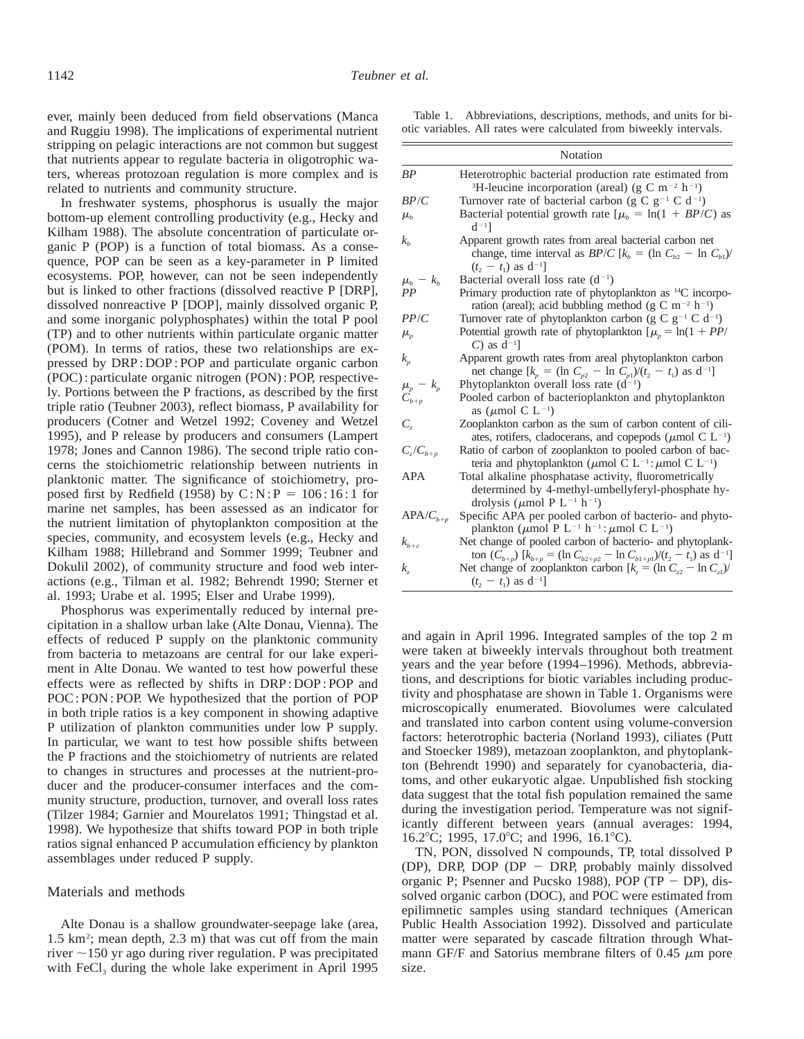ever, mainly been deduced from field observations (Manca and Ruggiu 1998). The implications of experimental nutrient stripping on pelagic interactions are not common but suggest that nutrients appear to regulate bacteria in oligotrophic waters, whereas protozoan regulation is more complex and is related to nutrients and community structure.

In freshwater systems, phosphorus is usually the major bottom-up element controlling productivity (e.g., Hecky and Kilham 1988). The absolute concentration of particulate organic P (POP) is a function of total biomass. As a consequence, POP can be seen as a key-parameter in P limited ecosystems. POP, however, can not be seen independently but is linked to other fractions (dissolved reactive P [DRP], dissolved nonreactive P [DOP], mainly dissolved organic P, and some inorganic polyphosphates) within the total P pool (TP) and to other nutrients within particulate organic matter (POM). In terms of ratios, these two relationships are expressed by DRP : DOP : POP and particulate organic carbon (POC) : particulate organic nitrogen (PON) : POP, respectively. Portions between the P fractions, as described by the first triple ratio (Teubner 2003), reflect biomass, P availability for producers (Cotner and Wetzel 1992; Coveney and Wetzel 1995), and P release by producers and consumers (Lampert 1978; Jones and Cannon 1986). The second triple ratio concerns the stoichiometric relationship between nutrients in planktonic matter. The significance of stoichiometry, proposed first by Redfield (1958) by  $C: N : P = 106 : 16 : 1$  for marine net samples, has been assessed as an indicator for the nutrient limitation of phytoplankton composition at the species, community, and ecosystem levels (e.g., Hecky and Kilham 1988; Hillebrand and Sommer 1999; Teubner and Dokulil 2002), of community structure and food web interactions (e.g., Tilman et al. 1982; Behrendt 1990; Sterner et al. 1993; Urabe et al. 1995; Elser and Urabe 1999).

Phosphorus was experimentally reduced by internal precipitation in a shallow urban lake (Alte Donau, Vienna). The effects of reduced P supply on the planktonic community from bacteria to metazoans are central for our lake experiment in Alte Donau. We wanted to test how powerful these effects were as reflected by shifts in DRP : DOP : POP and POC : PON : POP. We hypothesized that the portion of POP in both triple ratios is a key component in showing adaptive P utilization of plankton communities under low P supply. In particular, we want to test how possible shifts between the P fractions and the stoichiometry of nutrients are related to changes in structures and processes at the nutrient-producer and the producer-consumer interfaces and the community structure, production, turnover, and overall loss rates (Tilzer 1984; Garnier and Mourelatos 1991; Thingstad et al. 1998). We hypothesize that shifts toward POP in both triple ratios signal enhanced P accumulation efficiency by plankton assemblages under reduced P supply.

#### Materials and methods

Alte Donau is a shallow groundwater-seepage lake (area, 1.5 km2 ; mean depth, 2.3 m) that was cut off from the main river  $\sim$ 150 yr ago during river regulation. P was precipitated with FeCl<sub>3</sub> during the whole lake experiment in April 1995

Table 1. Abbreviations, descriptions, methods, and units for biotic variables. All rates were calculated from biweekly intervals.

|                              | Notation                                                                                                                                                                                                                                                                                                                                                                                                                                                          |
|------------------------------|-------------------------------------------------------------------------------------------------------------------------------------------------------------------------------------------------------------------------------------------------------------------------------------------------------------------------------------------------------------------------------------------------------------------------------------------------------------------|
| BP                           | Heterotrophic bacterial production rate estimated from<br><sup>3</sup> H-leucine incorporation (areal) (g C m <sup>-2</sup> h <sup>-1</sup> )                                                                                                                                                                                                                                                                                                                     |
| BP/C                         | Turnover rate of bacterial carbon (g C $g^{-1}$ C d <sup>-1</sup> )                                                                                                                                                                                                                                                                                                                                                                                               |
| $\mu_{h}$                    | Bacterial potential growth rate $[\mu_b = \ln(1 + BP/C)]$ as<br>$d^{-1}$                                                                                                                                                                                                                                                                                                                                                                                          |
| $k_h$                        | Apparent growth rates from areal bacterial carbon net<br>change, time interval as <i>BP/C</i> [ $k_b$ = (ln $C_{b2}$ - ln $C_{b1}$ )/<br>$(t_2 - t_1)$ as $d^{-1}$                                                                                                                                                                                                                                                                                                |
| $\mu_h - k_h$                | Bacterial overall loss rate $(d^{-1})$                                                                                                                                                                                                                                                                                                                                                                                                                            |
| PP                           | Primary production rate of phytoplankton as $^{14}C$ incorpo-<br>ration (areal); acid bubbling method (g C m <sup>-2</sup> h <sup>-1</sup> )                                                                                                                                                                                                                                                                                                                      |
| PP/C                         | Turnover rate of phytoplankton carbon (g C $g^{-1}$ C d <sup>-1</sup> )                                                                                                                                                                                                                                                                                                                                                                                           |
| $\mu_{\scriptscriptstyle p}$ | Potential growth rate of phytoplankton $[\mu_p = \ln(1 + PP/\sqrt{1 + PP/\sqrt{1 + PP/\sqrt{1 + PP/\sqrt{1 + PP/\sqrt{1 + PP/\sqrt{1 + PP/\sqrt{1 + PP/\sqrt{1 + PP/\sqrt{1 + PP/\sqrt{1 + PP/\sqrt{1 + PP/\sqrt{1 + PP/\sqrt{1 + PP/\sqrt{1 + PP/\sqrt{1 + PP/\sqrt{1 + PP/\sqrt{1 + PP/\sqrt{1 + PP/\sqrt{1 + PP/\sqrt{1 + PP/\sqrt{1 + PP/\sqrt{1 + PP/\sqrt{1 + PP/\sqrt{1 + PP/\sqrt{1 + PP/\sqrt{1 + PP/\sqrt{1 + WP/\sqrt{1 + WP/\sqrt{$<br>C) as $d^{-1}$ |
| $k_{n}$                      | Apparent growth rates from areal phytoplankton carbon<br>net change $[k_p = (\ln C_{p2} - \ln C_{p1})/(t_2 - t_1)$ as $d^{-1}$ ]                                                                                                                                                                                                                                                                                                                                  |
| $\mu_p - k_p$                | Phytoplankton overall loss rate $(d^{-1})$                                                                                                                                                                                                                                                                                                                                                                                                                        |
| $C_{b+p}$                    | Pooled carbon of bacterioplankton and phytoplankton<br>as ( $\mu$ mol C L <sup>-1</sup> )                                                                                                                                                                                                                                                                                                                                                                         |
| $C_{\scriptscriptstyle{7}}$  | Zooplankton carbon as the sum of carbon content of cili-<br>ates, rotifers, cladocerans, and copepods ( $\mu$ mol C L <sup>-1</sup> )                                                                                                                                                                                                                                                                                                                             |
| $C_z/C_{b+p}$                | Ratio of carbon of zooplankton to pooled carbon of bac-<br>teria and phytoplankton ( $\mu$ mol C L <sup>-1</sup> : $\mu$ mol C L <sup>-1</sup> )                                                                                                                                                                                                                                                                                                                  |
| APA                          | Total alkaline phosphatase activity, fluorometrically<br>determined by 4-methyl-umbellyferyl-phosphate hy-<br>drolysis ( $\mu$ mol P L <sup>-1</sup> h <sup>-1</sup> )                                                                                                                                                                                                                                                                                            |
| $APA/C_{b+p}$                | Specific APA per pooled carbon of bacterio- and phyto-<br>plankton ( $\mu$ mol P L <sup>-1</sup> h <sup>-1</sup> : $\mu$ mol C L <sup>-1</sup> )                                                                                                                                                                                                                                                                                                                  |
| $k_{b+c}$                    | Net change of pooled carbon of bacterio- and phytoplank-<br>ton $(C_{b+p})$ $[k_{b+p} = (\ln C_{b2+p2} - \ln C_{b1+p1})/(t_2 - t_1)$ as $d^{-1}$                                                                                                                                                                                                                                                                                                                  |
| $k_z$                        | Net change of zooplankton carbon $[k = (\ln C_{22} - \ln C_{1})]$<br>$(t_2 - t_1)$ as $d^{-1}$                                                                                                                                                                                                                                                                                                                                                                    |

and again in April 1996. Integrated samples of the top 2 m were taken at biweekly intervals throughout both treatment years and the year before (1994–1996). Methods, abbreviations, and descriptions for biotic variables including productivity and phosphatase are shown in Table 1. Organisms were microscopically enumerated. Biovolumes were calculated and translated into carbon content using volume-conversion factors: heterotrophic bacteria (Norland 1993), ciliates (Putt and Stoecker 1989), metazoan zooplankton, and phytoplankton (Behrendt 1990) and separately for cyanobacteria, diatoms, and other eukaryotic algae. Unpublished fish stocking data suggest that the total fish population remained the same during the investigation period. Temperature was not significantly different between years (annual averages: 1994, 16.2°C; 1995, 17.0°C; and 1996, 16.1°C).

TN, PON, dissolved N compounds, TP, total dissolved P (DP), DRP, DOP (DP  $-$  DRP, probably mainly dissolved organic P; Psenner and Pucsko 1988), POP (TP  $-$  DP), dissolved organic carbon (DOC), and POC were estimated from epilimnetic samples using standard techniques (American Public Health Association 1992). Dissolved and particulate matter were separated by cascade filtration through Whatmann GF/F and Satorius membrane filters of 0.45  $\mu$ m pore size.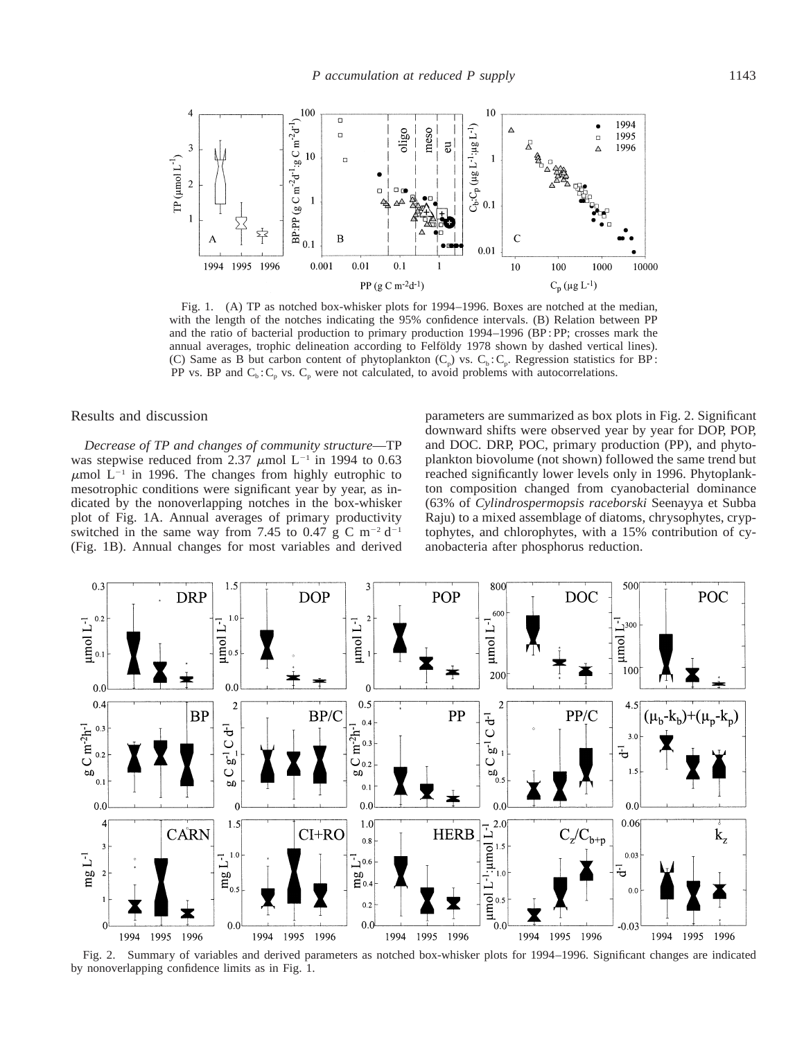

Fig. 1. (A) TP as notched box-whisker plots for 1994–1996. Boxes are notched at the median, with the length of the notches indicating the 95% confidence intervals. (B) Relation between PP and the ratio of bacterial production to primary production 1994–1996 (BP : PP; crosses mark the annual averages, trophic delineation according to Felföldy 1978 shown by dashed vertical lines). (C) Same as B but carbon content of phytoplankton  $(C_p)$  vs.  $C_b$ :  $C_p$ . Regression statistics for BP: PP vs. BP and  $C_b$ :  $C_p$  vs.  $C_p$  were not calculated, to avoid problems with autocorrelations.

Results and discussion

*Decrease of TP and changes of community structure*—TP was stepwise reduced from 2.37  $\mu$ mol L<sup>-1</sup> in 1994 to 0.63  $\mu$ mol L<sup>-1</sup> in 1996. The changes from highly eutrophic to mesotrophic conditions were significant year by year, as indicated by the nonoverlapping notches in the box-whisker plot of Fig. 1A. Annual averages of primary productivity switched in the same way from 7.45 to 0.47 g C m<sup>-2</sup> d<sup>-1</sup> (Fig. 1B). Annual changes for most variables and derived parameters are summarized as box plots in Fig. 2. Significant downward shifts were observed year by year for DOP, POP, and DOC. DRP, POC, primary production (PP), and phytoplankton biovolume (not shown) followed the same trend but reached significantly lower levels only in 1996. Phytoplankton composition changed from cyanobacterial dominance (63% of *Cylindrospermopsis raceborski* Seenayya et Subba Raju) to a mixed assemblage of diatoms, chrysophytes, cryptophytes, and chlorophytes, with a 15% contribution of cyanobacteria after phosphorus reduction.



Fig. 2. Summary of variables and derived parameters as notched box-whisker plots for 1994–1996. Significant changes are indicated by nonoverlapping confidence limits as in Fig. 1.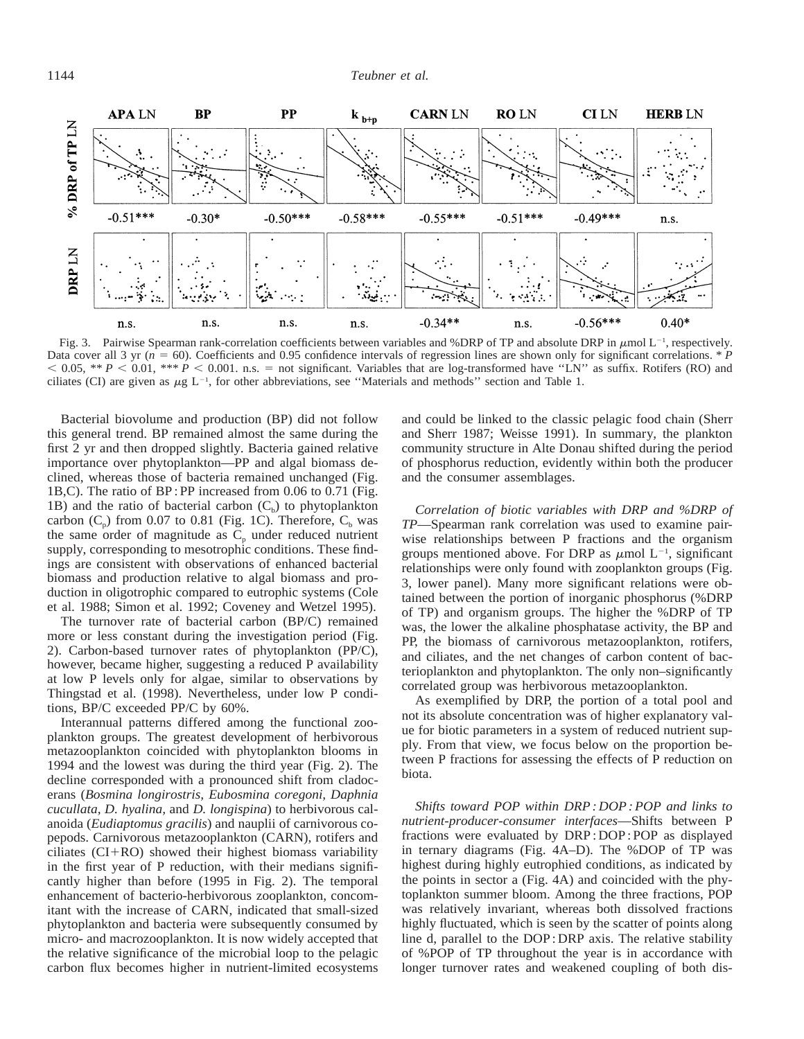

Fig. 3. Pairwise Spearman rank-correlation coefficients between variables and %DRP of TP and absolute DRP in  $\mu$ mol L<sup>-1</sup>, respectively. Data cover all 3 yr ( $n = 60$ ). Coefficients and 0.95 confidence intervals of regression lines are shown only for significant correlations. \* *P*  $< 0.05$ , \*\* *P*  $< 0.01$ , \*\*\* *P*  $< 0.001$ . n.s. = not significant. Variables that are log-transformed have "LN" as suffix. Rotifers (RO) and ciliates (CI) are given as  $\mu$ g L<sup>-1</sup>, for other abbreviations, see "Materials and methods" section and Table 1.

Bacterial biovolume and production (BP) did not follow this general trend. BP remained almost the same during the first 2 yr and then dropped slightly. Bacteria gained relative importance over phytoplankton—PP and algal biomass declined, whereas those of bacteria remained unchanged (Fig. 1B,C). The ratio of BP : PP increased from 0.06 to 0.71 (Fig. 1B) and the ratio of bacterial carbon  $(C_b)$  to phytoplankton carbon  $(C_p)$  from 0.07 to 0.81 (Fig. 1C). Therefore,  $C_b$  was the same order of magnitude as  $\tilde{C}_p$  under reduced nutrient supply, corresponding to mesotrophic conditions. These findings are consistent with observations of enhanced bacterial biomass and production relative to algal biomass and production in oligotrophic compared to eutrophic systems (Cole et al. 1988; Simon et al. 1992; Coveney and Wetzel 1995).

The turnover rate of bacterial carbon (BP/C) remained more or less constant during the investigation period (Fig. 2). Carbon-based turnover rates of phytoplankton (PP/C), however, became higher, suggesting a reduced P availability at low P levels only for algae, similar to observations by Thingstad et al. (1998). Nevertheless, under low P conditions, BP/C exceeded PP/C by 60%.

Interannual patterns differed among the functional zooplankton groups. The greatest development of herbivorous metazooplankton coincided with phytoplankton blooms in 1994 and the lowest was during the third year (Fig. 2). The decline corresponded with a pronounced shift from cladocerans (*Bosmina longirostris, Eubosmina coregoni, Daphnia cucullata, D. hyalina,* and *D. longispina*) to herbivorous calanoida (*Eudiaptomus gracilis*) and nauplii of carnivorous copepods. Carnivorous metazooplankton (CARN), rotifers and ciliates  $(CI+RO)$  showed their highest biomass variability in the first year of P reduction, with their medians significantly higher than before (1995 in Fig. 2). The temporal enhancement of bacterio-herbivorous zooplankton, concomitant with the increase of CARN, indicated that small-sized phytoplankton and bacteria were subsequently consumed by micro- and macrozooplankton. It is now widely accepted that the relative significance of the microbial loop to the pelagic carbon flux becomes higher in nutrient-limited ecosystems

and could be linked to the classic pelagic food chain (Sherr and Sherr 1987; Weisse 1991). In summary, the plankton community structure in Alte Donau shifted during the period of phosphorus reduction, evidently within both the producer and the consumer assemblages.

*Correlation of biotic variables with DRP and %DRP of TP*—Spearman rank correlation was used to examine pairwise relationships between P fractions and the organism groups mentioned above. For DRP as  $\mu$ mol L<sup>-1</sup>, significant relationships were only found with zooplankton groups (Fig. 3, lower panel). Many more significant relations were obtained between the portion of inorganic phosphorus (%DRP of TP) and organism groups. The higher the %DRP of TP was, the lower the alkaline phosphatase activity, the BP and PP, the biomass of carnivorous metazooplankton, rotifers, and ciliates, and the net changes of carbon content of bacterioplankton and phytoplankton. The only non–significantly correlated group was herbivorous metazooplankton.

As exemplified by DRP, the portion of a total pool and not its absolute concentration was of higher explanatory value for biotic parameters in a system of reduced nutrient supply. From that view, we focus below on the proportion between P fractions for assessing the effects of P reduction on biota.

*Shifts toward POP within DRP : DOP : POP and links to nutrient-producer-consumer interfaces*—Shifts between P fractions were evaluated by DRP : DOP : POP as displayed in ternary diagrams (Fig. 4A–D). The %DOP of TP was highest during highly eutrophied conditions, as indicated by the points in sector a (Fig. 4A) and coincided with the phytoplankton summer bloom. Among the three fractions, POP was relatively invariant, whereas both dissolved fractions highly fluctuated, which is seen by the scatter of points along line d, parallel to the DOP : DRP axis. The relative stability of %POP of TP throughout the year is in accordance with longer turnover rates and weakened coupling of both dis-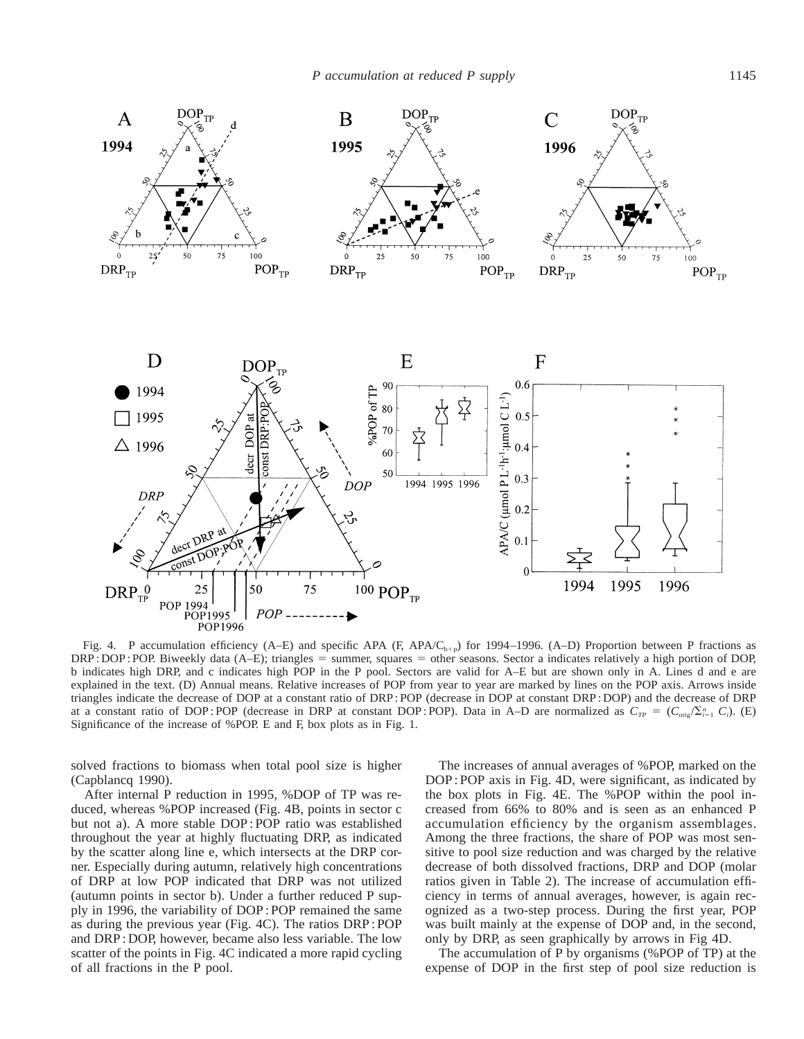

Fig. 4. P accumulation efficiency (A–E) and specific APA (F,  $APA/C_{b+p}$ ) for 1994–1996. (A–D) Proportion between P fractions as  $DRP: DOP: POP. Biweekly data (A–E); triangles = summer, squares = other seasons. Sector a indicates relatively a high portion of DOP,$ b indicates high DRP, and c indicates high POP in the P pool. Sectors are valid for A–E but are shown only in A. Lines d and e are explained in the text. (D) Annual means. Relative increases of POP from year to year are marked by lines on the POP axis. Arrows inside triangles indicate the decrease of DOP at a constant ratio of DRP : POP (decrease in DOP at constant DRP : DOP) and the decrease of DRP at a constant ratio of DOP: POP (decrease in DRP at constant DOP: POP). Data in A–D are normalized as  $C_{TP} = (C_{\text{orig}}/\Sigma_{i=1}^n C_i)$ . (E) Significance of the increase of %POP. E and F, box plots as in Fig. 1.

solved fractions to biomass when total pool size is higher (Capblancq 1990).

After internal P reduction in 1995, %DOP of TP was reduced, whereas %POP increased (Fig. 4B, points in sector c but not a). A more stable DOP : POP ratio was established throughout the year at highly fluctuating DRP, as indicated by the scatter along line e, which intersects at the DRP corner. Especially during autumn, relatively high concentrations of DRP at low POP indicated that DRP was not utilized (autumn points in sector b). Under a further reduced P supply in 1996, the variability of DOP : POP remained the same as during the previous year (Fig. 4C). The ratios DRP : POP and DRP : DOP, however, became also less variable. The low scatter of the points in Fig. 4C indicated a more rapid cycling of all fractions in the P pool.

The increases of annual averages of %POP, marked on the DOP : POP axis in Fig. 4D, were significant, as indicated by the box plots in Fig. 4E. The %POP within the pool increased from 66% to 80% and is seen as an enhanced P accumulation efficiency by the organism assemblages. Among the three fractions, the share of POP was most sensitive to pool size reduction and was charged by the relative decrease of both dissolved fractions, DRP and DOP (molar ratios given in Table 2). The increase of accumulation efficiency in terms of annual averages, however, is again recognized as a two-step process. During the first year, POP was built mainly at the expense of DOP and, in the second, only by DRP, as seen graphically by arrows in Fig 4D.

The accumulation of P by organisms (%POP of TP) at the expense of DOP in the first step of pool size reduction is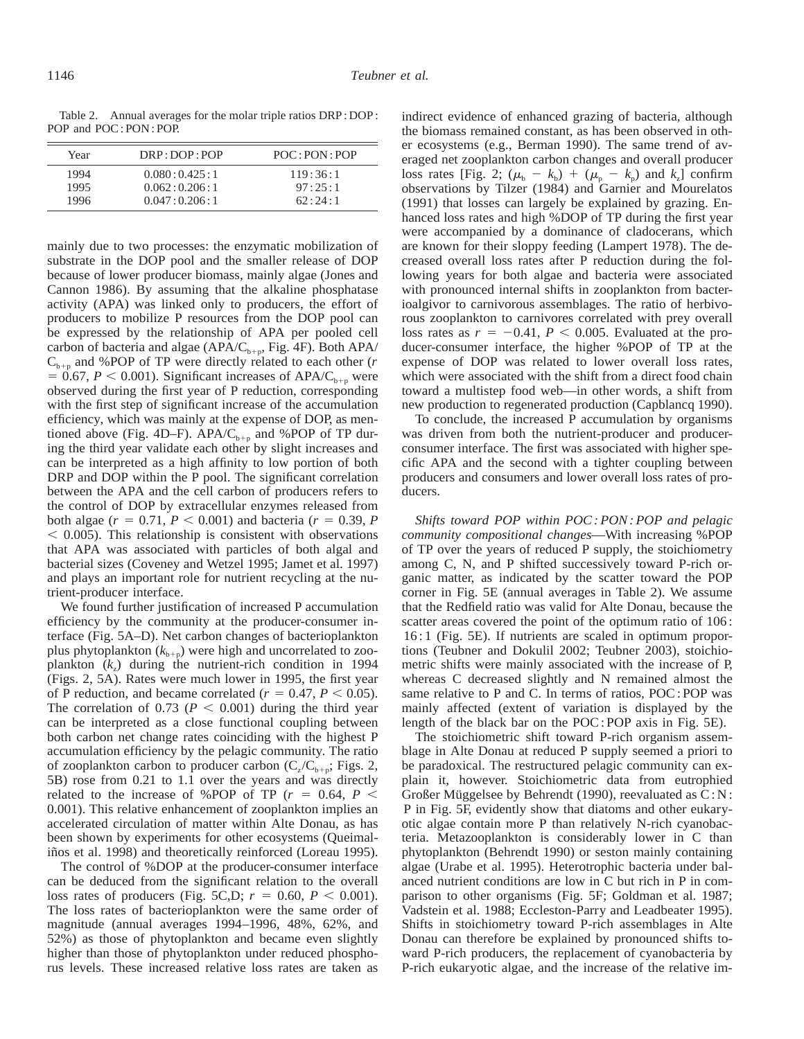Table 2. Annual averages for the molar triple ratios DRP : DOP : POP and POC : PON : POP.

| Year | DRP: DOP: POP | POC: PON: POP |
|------|---------------|---------------|
| 1994 | 0.080:0.425:1 | 119:36:1      |
| 1995 | 0.062:0.206:1 | 97:25:1       |
| 1996 | 0.047:0.206:1 | 62:24:1       |

mainly due to two processes: the enzymatic mobilization of substrate in the DOP pool and the smaller release of DOP because of lower producer biomass, mainly algae (Jones and Cannon 1986). By assuming that the alkaline phosphatase activity (APA) was linked only to producers, the effort of producers to mobilize P resources from the DOP pool can be expressed by the relationship of APA per pooled cell carbon of bacteria and algae (APA/ $C_{b+p}$ , Fig. 4F). Both APA/  $C_{b+n}$  and %POP of TP were directly related to each other (*r*  $= 0.67$ ,  $P < 0.001$ ). Significant increases of APA/C<sub>h+p</sub> were observed during the first year of P reduction, corresponding with the first step of significant increase of the accumulation efficiency, which was mainly at the expense of DOP, as mentioned above (Fig. 4D–F). APA/ $C_{b+p}$  and %POP of TP during the third year validate each other by slight increases and can be interpreted as a high affinity to low portion of both DRP and DOP within the P pool. The significant correlation between the APA and the cell carbon of producers refers to the control of DOP by extracellular enzymes released from both algae ( $r = 0.71$ ,  $P < 0.001$ ) and bacteria ( $r = 0.39$ , *P*  $<$  0.005). This relationship is consistent with observations that APA was associated with particles of both algal and bacterial sizes (Coveney and Wetzel 1995; Jamet et al. 1997) and plays an important role for nutrient recycling at the nutrient-producer interface.

We found further justification of increased P accumulation efficiency by the community at the producer-consumer interface (Fig. 5A–D). Net carbon changes of bacterioplankton plus phytoplankton  $(k_{b+p})$  were high and uncorrelated to zooplankton  $(k<sub>z</sub>)$  during the nutrient-rich condition in 1994 (Figs. 2, 5A). Rates were much lower in 1995, the first year of P reduction, and became correlated ( $r = 0.47, P \le 0.05$ ). The correlation of 0.73 ( $P < 0.001$ ) during the third year can be interpreted as a close functional coupling between both carbon net change rates coinciding with the highest P accumulation efficiency by the pelagic community. The ratio of zooplankton carbon to producer carbon  $(C_z/C_{b+p};$  Figs. 2, 5B) rose from 0.21 to 1.1 over the years and was directly related to the increase of %POP of TP ( $r = 0.64$ ,  $P \leq$ 0.001). This relative enhancement of zooplankton implies an accelerated circulation of matter within Alte Donau, as has been shown by experiments for other ecosystems (Queimaliños et al. 1998) and theoretically reinforced (Loreau 1995).

The control of %DOP at the producer-consumer interface can be deduced from the significant relation to the overall loss rates of producers (Fig. 5C,D;  $r = 0.60, P < 0.001$ ). The loss rates of bacterioplankton were the same order of magnitude (annual averages 1994–1996, 48%, 62%, and 52%) as those of phytoplankton and became even slightly higher than those of phytoplankton under reduced phosphorus levels. These increased relative loss rates are taken as

indirect evidence of enhanced grazing of bacteria, although the biomass remained constant, as has been observed in other ecosystems (e.g., Berman 1990). The same trend of averaged net zooplankton carbon changes and overall producer loss rates [Fig. 2;  $(\mu_b - k_b) + (\mu_p - k_p)$  and  $k_z$ ] confirm observations by Tilzer (1984) and Garnier and Mourelatos (1991) that losses can largely be explained by grazing. Enhanced loss rates and high %DOP of TP during the first year were accompanied by a dominance of cladocerans, which are known for their sloppy feeding (Lampert 1978). The decreased overall loss rates after P reduction during the following years for both algae and bacteria were associated with pronounced internal shifts in zooplankton from bacterioalgivor to carnivorous assemblages. The ratio of herbivorous zooplankton to carnivores correlated with prey overall loss rates as  $r = -0.41$ ,  $P < 0.005$ . Evaluated at the producer-consumer interface, the higher %POP of TP at the expense of DOP was related to lower overall loss rates, which were associated with the shift from a direct food chain toward a multistep food web—in other words, a shift from new production to regenerated production (Capblancq 1990).

To conclude, the increased P accumulation by organisms was driven from both the nutrient-producer and producerconsumer interface. The first was associated with higher specific APA and the second with a tighter coupling between producers and consumers and lower overall loss rates of producers.

*Shifts toward POP within POC : PON : POP and pelagic community compositional changes*—With increasing %POP of TP over the years of reduced P supply, the stoichiometry among C, N, and P shifted successively toward P-rich organic matter, as indicated by the scatter toward the POP corner in Fig. 5E (annual averages in Table 2). We assume that the Redfield ratio was valid for Alte Donau, because the scatter areas covered the point of the optimum ratio of 106: 16 : 1 (Fig. 5E). If nutrients are scaled in optimum proportions (Teubner and Dokulil 2002; Teubner 2003), stoichiometric shifts were mainly associated with the increase of P, whereas C decreased slightly and N remained almost the same relative to P and C. In terms of ratios, POC : POP was mainly affected (extent of variation is displayed by the length of the black bar on the POC : POP axis in Fig. 5E).

The stoichiometric shift toward P-rich organism assemblage in Alte Donau at reduced P supply seemed a priori to be paradoxical. The restructured pelagic community can explain it, however. Stoichiometric data from eutrophied Großer Müggelsee by Behrendt (1990), reevaluated as  $C: N$ : P in Fig. 5F, evidently show that diatoms and other eukaryotic algae contain more P than relatively N-rich cyanobacteria. Metazooplankton is considerably lower in C than phytoplankton (Behrendt 1990) or seston mainly containing algae (Urabe et al. 1995). Heterotrophic bacteria under balanced nutrient conditions are low in C but rich in P in comparison to other organisms (Fig. 5F; Goldman et al. 1987; Vadstein et al. 1988; Eccleston-Parry and Leadbeater 1995). Shifts in stoichiometry toward P-rich assemblages in Alte Donau can therefore be explained by pronounced shifts toward P-rich producers, the replacement of cyanobacteria by P-rich eukaryotic algae, and the increase of the relative im-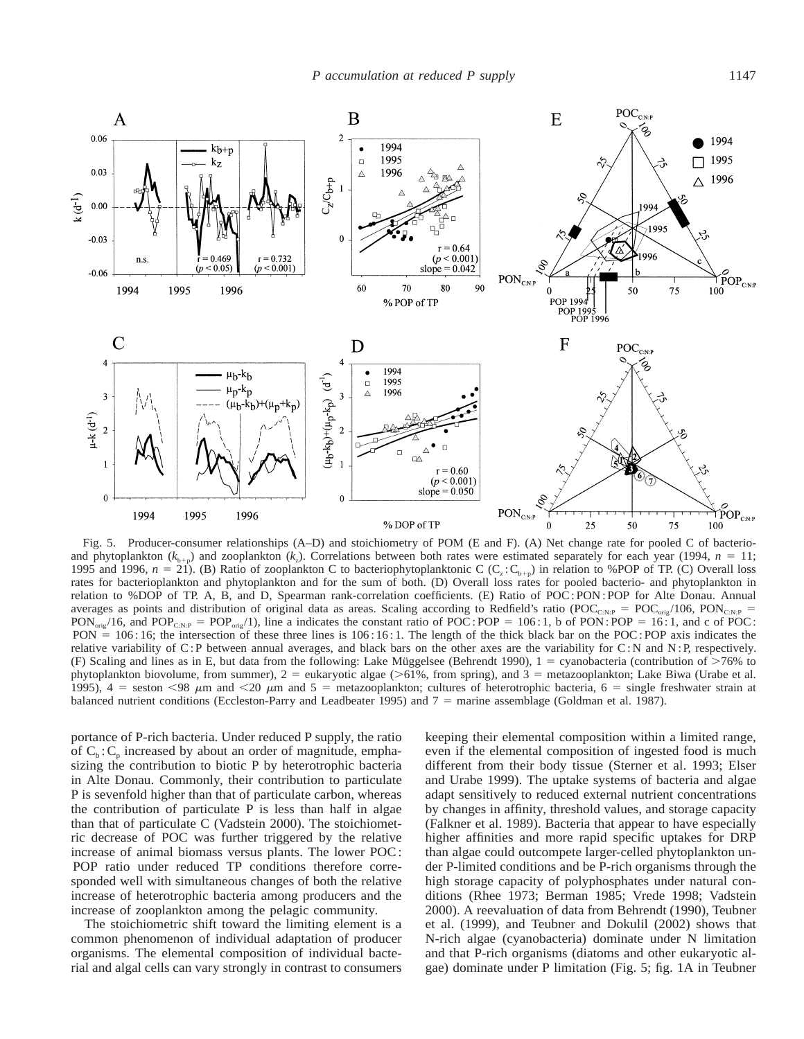

Fig. 5. Producer-consumer relationships (A–D) and stoichiometry of POM (E and F). (A) Net change rate for pooled C of bacterioand phytoplankton ( $k_{b+p}$ ) and zooplankton ( $k_z$ ). Correlations between both rates were estimated separately for each year (1994,  $n = 11$ ; 1995 and 1996,  $n = 21$ ). (B) Ratio of zooplankton C to bacteriophytoplanktonic C (C<sub>z</sub>: C<sub>b+p</sub>) in relation to %POP of TP. (C) Overall loss rates for bacterioplankton and phytoplankton and for the sum of both. (D) Overall loss rates for pooled bacterio- and phytoplankton in relation to %DOP of TP. A, B, and D, Spearman rank-correlation coefficients. (E) Ratio of POC : PON : POP for Alte Donau. Annual averages as points and distribution of original data as areas. Scaling according to Redfield's ratio (POC<sub>C:N:P</sub> = POC<sub>orig</sub>/106, PON<sub>C:N:P</sub> =  $PON_{\text{orig}}/16$ , and  $POP_{\text{CNP}} = POP_{\text{orig}}/1$ ), line a indicates the constant ratio of  $POC$ :  $POP = 106:1$ , b of  $PON$ :  $POP = 16:1$ , and c of  $POC$ : PON  $= 106:16$ ; the intersection of these three lines is 106:16:1. The length of the thick black bar on the POC: POP axis indicates the relative variability of C:P between annual averages, and black bars on the other axes are the variability for C:N and N:P, respectively. (F) Scaling and lines as in E, but data from the following: Lake Müggelsee (Behrendt 1990),  $1 =$  cyanobacteria (contribution of  $>76\%$  to phytoplankton biovolume, from summer),  $2 =$  eukaryotic algae ( $>61\%$ , from spring), and  $3 =$  metazooplankton; Lake Biwa (Urabe et al. 1995),  $4 =$  seston <98  $\mu$ m and <20  $\mu$ m and 5 = metazooplankton; cultures of heterotrophic bacteria, 6 = single freshwater strain at balanced nutrient conditions (Eccleston-Parry and Leadbeater 1995) and  $7 =$  marine assemblage (Goldman et al. 1987).

portance of P-rich bacteria. Under reduced P supply, the ratio of  $C_b$ :  $C_p$  increased by about an order of magnitude, emphasizing the contribution to biotic P by heterotrophic bacteria in Alte Donau. Commonly, their contribution to particulate P is sevenfold higher than that of particulate carbon, whereas the contribution of particulate P is less than half in algae than that of particulate C (Vadstein 2000). The stoichiometric decrease of POC was further triggered by the relative increase of animal biomass versus plants. The lower POC : POP ratio under reduced TP conditions therefore corresponded well with simultaneous changes of both the relative increase of heterotrophic bacteria among producers and the increase of zooplankton among the pelagic community.

The stoichiometric shift toward the limiting element is a common phenomenon of individual adaptation of producer organisms. The elemental composition of individual bacterial and algal cells can vary strongly in contrast to consumers keeping their elemental composition within a limited range, even if the elemental composition of ingested food is much different from their body tissue (Sterner et al. 1993; Elser and Urabe 1999). The uptake systems of bacteria and algae adapt sensitively to reduced external nutrient concentrations by changes in affinity, threshold values, and storage capacity (Falkner et al. 1989). Bacteria that appear to have especially higher affinities and more rapid specific uptakes for DRP than algae could outcompete larger-celled phytoplankton under P-limited conditions and be P-rich organisms through the high storage capacity of polyphosphates under natural conditions (Rhee 1973; Berman 1985; Vrede 1998; Vadstein 2000). A reevaluation of data from Behrendt (1990), Teubner et al. (1999), and Teubner and Dokulil (2002) shows that N-rich algae (cyanobacteria) dominate under N limitation and that P-rich organisms (diatoms and other eukaryotic algae) dominate under P limitation (Fig. 5; fig. 1A in Teubner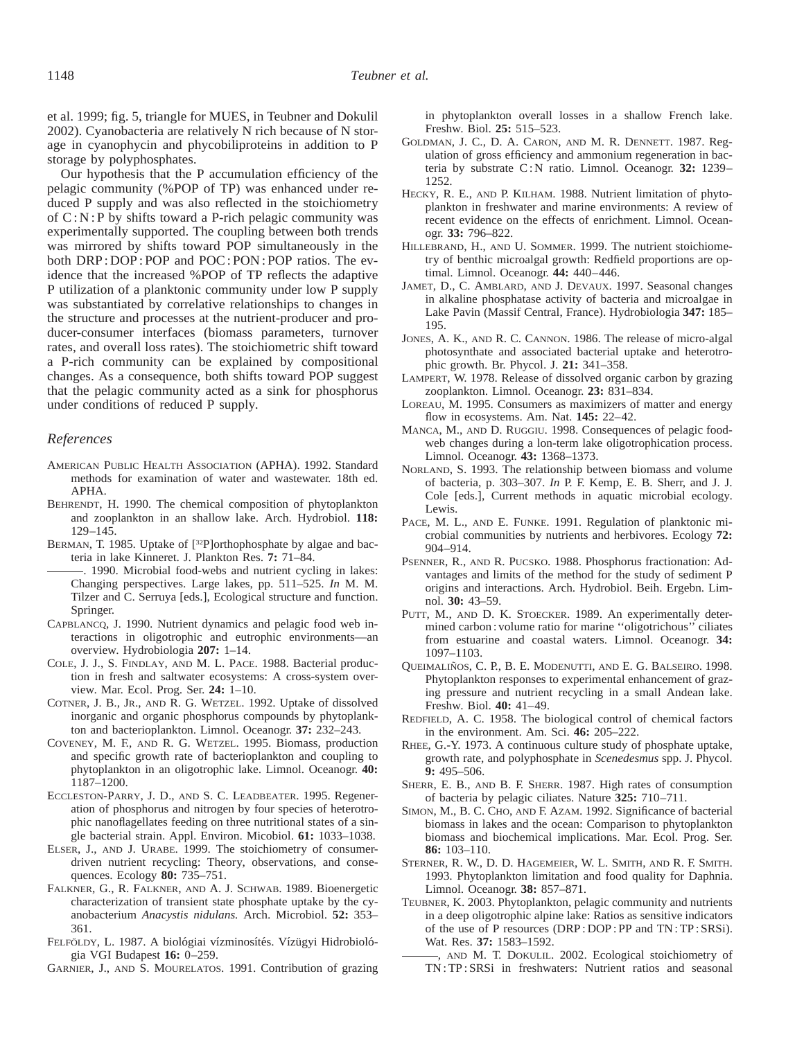et al. 1999; fig. 5, triangle for MUES, in Teubner and Dokulil 2002). Cyanobacteria are relatively N rich because of N storage in cyanophycin and phycobiliproteins in addition to P storage by polyphosphates.

Our hypothesis that the P accumulation efficiency of the pelagic community (%POP of TP) was enhanced under reduced P supply and was also reflected in the stoichiometry of  $C: N: P$  by shifts toward a P-rich pelagic community was experimentally supported. The coupling between both trends was mirrored by shifts toward POP simultaneously in the both DRP : DOP : POP and POC : PON : POP ratios. The evidence that the increased %POP of TP reflects the adaptive P utilization of a planktonic community under low P supply was substantiated by correlative relationships to changes in the structure and processes at the nutrient-producer and producer-consumer interfaces (biomass parameters, turnover rates, and overall loss rates). The stoichiometric shift toward a P-rich community can be explained by compositional changes. As a consequence, both shifts toward POP suggest that the pelagic community acted as a sink for phosphorus under conditions of reduced P supply.

#### *References*

- AMERICAN PUBLIC HEALTH ASSOCIATION (APHA). 1992. Standard methods for examination of water and wastewater. 18th ed. APHA.
- BEHRENDT, H. 1990. The chemical composition of phytoplankton and zooplankton in an shallow lake. Arch. Hydrobiol. **118:** 129–145.
- BERMAN, T. 1985. Uptake of [<sup>32</sup>P]orthophosphate by algae and bacteria in lake Kinneret. J. Plankton Res. **7:** 71–84.

. 1990. Microbial food-webs and nutrient cycling in lakes: Changing perspectives. Large lakes, pp. 511–525. *In* M. M. Tilzer and C. Serruya [eds.], Ecological structure and function. Springer.

- CAPBLANCQ, J. 1990. Nutrient dynamics and pelagic food web interactions in oligotrophic and eutrophic environments—an overview. Hydrobiologia **207:** 1–14.
- COLE, J. J., S. FINDLAY, AND M. L. PACE. 1988. Bacterial production in fresh and saltwater ecosystems: A cross-system overview. Mar. Ecol. Prog. Ser. **24:** 1–10.
- COTNER, J. B., JR., AND R. G. WETZEL. 1992. Uptake of dissolved inorganic and organic phosphorus compounds by phytoplankton and bacterioplankton. Limnol. Oceanogr. **37:** 232–243.
- COVENEY, M. F., AND R. G. WETZEL. 1995. Biomass, production and specific growth rate of bacterioplankton and coupling to phytoplankton in an oligotrophic lake. Limnol. Oceanogr. **40:** 1187–1200.
- ECCLESTON-PARRY, J. D., AND S. C. LEADBEATER. 1995. Regeneration of phosphorus and nitrogen by four species of heterotrophic nanoflagellates feeding on three nutritional states of a single bacterial strain. Appl. Environ. Micobiol. **61:** 1033–1038.
- ELSER, J., AND J. URABE. 1999. The stoichiometry of consumerdriven nutrient recycling: Theory, observations, and consequences. Ecology **80:** 735–751.
- FALKNER, G., R. FALKNER, AND A. J. SCHWAB. 1989. Bioenergetic characterization of transient state phosphate uptake by the cyanobacterium *Anacystis nidulans.* Arch. Microbiol. **52:** 353– 361.
- FELFÖLDY, L. 1987. A biológiai vízminosítés. Vízügyi Hidrobiológia VGI Budapest **16:** 0–259.

GARNIER, J., AND S. MOURELATOS. 1991. Contribution of grazing

in phytoplankton overall losses in a shallow French lake. Freshw. Biol. **25:** 515–523.

- GOLDMAN, J. C., D. A. CARON, AND M. R. DENNETT. 1987. Regulation of gross efficiency and ammonium regeneration in bacteria by substrate C : N ratio. Limnol. Oceanogr. **32:** 1239– 1252.
- HECKY, R. E., AND P. KILHAM. 1988. Nutrient limitation of phytoplankton in freshwater and marine environments: A review of recent evidence on the effects of enrichment. Limnol. Oceanogr. **33:** 796–822.
- HILLEBRAND, H., AND U. SOMMER. 1999. The nutrient stoichiometry of benthic microalgal growth: Redfield proportions are optimal. Limnol. Oceanogr. **44:** 440–446.
- JAMET, D., C. AMBLARD, AND J. DEVAUX. 1997. Seasonal changes in alkaline phosphatase activity of bacteria and microalgae in Lake Pavin (Massif Central, France). Hydrobiologia **347:** 185– 195.
- JONES, A. K., AND R. C. CANNON. 1986. The release of micro-algal photosynthate and associated bacterial uptake and heterotrophic growth. Br. Phycol. J. **21:** 341–358.
- LAMPERT, W. 1978. Release of dissolved organic carbon by grazing zooplankton. Limnol. Oceanogr. **23:** 831–834.
- LOREAU, M. 1995. Consumers as maximizers of matter and energy flow in ecosystems. Am. Nat. **145:** 22–42.
- MANCA, M., AND D. RUGGIU. 1998. Consequences of pelagic foodweb changes during a lon-term lake oligotrophication process. Limnol. Oceanogr. **43:** 1368–1373.
- NORLAND, S. 1993. The relationship between biomass and volume of bacteria, p. 303–307. *In* P. F. Kemp, E. B. Sherr, and J. J. Cole [eds.], Current methods in aquatic microbial ecology. Lewis.
- PACE, M. L., AND E. FUNKE. 1991. Regulation of planktonic microbial communities by nutrients and herbivores. Ecology **72:** 904–914.
- PSENNER, R., AND R. PUCSKO. 1988. Phosphorus fractionation: Advantages and limits of the method for the study of sediment P origins and interactions. Arch. Hydrobiol. Beih. Ergebn. Limnol. **30:** 43–59.
- PUTT, M., AND D. K. STOECKER. 1989. An experimentally determined carbon : volume ratio for marine ''oligotrichous'' ciliates from estuarine and coastal waters. Limnol. Oceanogr. **34:** 1097–1103.
- QUEIMALIÑOS, C. P., B. E. MODENUTTI, AND E. G. BALSEIRO. 1998. Phytoplankton responses to experimental enhancement of grazing pressure and nutrient recycling in a small Andean lake. Freshw. Biol. **40:** 41–49.
- REDFIELD, A. C. 1958. The biological control of chemical factors in the environment. Am. Sci. **46:** 205–222.
- RHEE, G.-Y. 1973. A continuous culture study of phosphate uptake, growth rate, and polyphosphate in *Scenedesmus* spp. J. Phycol. **9:** 495–506.
- SHERR, E. B., AND B. F. SHERR. 1987. High rates of consumption of bacteria by pelagic ciliates. Nature **325:** 710–711.
- SIMON, M., B. C. CHO, AND F. AZAM. 1992. Significance of bacterial biomass in lakes and the ocean: Comparison to phytoplankton biomass and biochemical implications. Mar. Ecol. Prog. Ser. **86:** 103–110.
- STERNER, R. W., D. D. HAGEMEIER, W. L. SMITH, AND R. F. SMITH. 1993. Phytoplankton limitation and food quality for Daphnia. Limnol. Oceanogr. **38:** 857–871.
- TEUBNER, K. 2003. Phytoplankton, pelagic community and nutrients in a deep oligotrophic alpine lake: Ratios as sensitive indicators of the use of P resources (DRP : DOP : PP and TN : TP : SRSi). Wat. Res. **37:** 1583–1592.
	- , AND M. T. DOKULIL. 2002. Ecological stoichiometry of TN : TP : SRSi in freshwaters: Nutrient ratios and seasonal